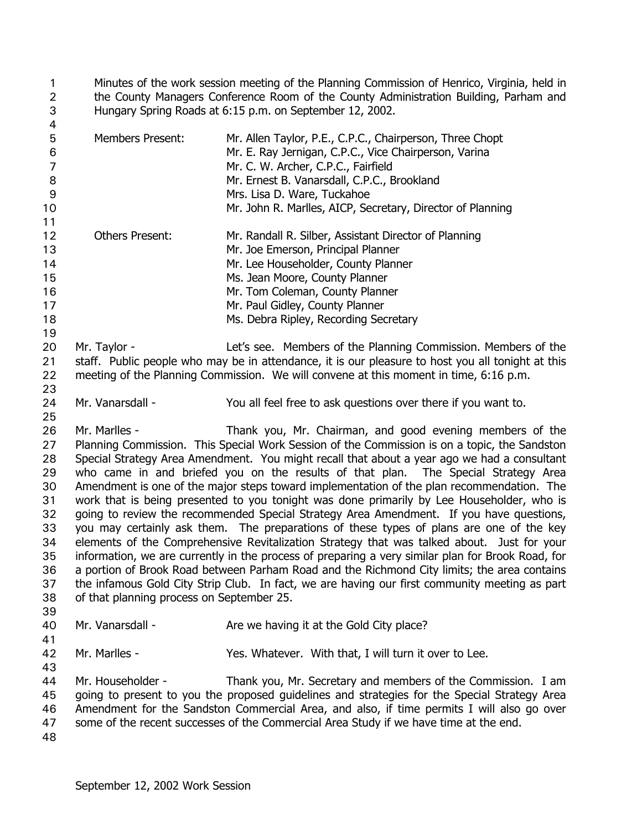Minutes of the work session meeting of the Planning Commission of Henrico, Virginia, held in the County Managers Conference Room of the County Administration Building, Parham and Hungary Spring Roads at 6:15 p.m. on September 12, 2002. 1 2 3  $\mathbf{A}$ 

| 5<br>$\,6$<br>$\overline{7}$ | <b>Members Present:</b>                                                                                                                    | Mr. Allen Taylor, P.E., C.P.C., Chairperson, Three Chopt<br>Mr. E. Ray Jernigan, C.P.C., Vice Chairperson, Varina<br>Mr. C. W. Archer, C.P.C., Fairfield |  |
|------------------------------|--------------------------------------------------------------------------------------------------------------------------------------------|----------------------------------------------------------------------------------------------------------------------------------------------------------|--|
| 8                            |                                                                                                                                            | Mr. Ernest B. Vanarsdall, C.P.C., Brookland                                                                                                              |  |
| 9                            |                                                                                                                                            | Mrs. Lisa D. Ware, Tuckahoe                                                                                                                              |  |
| 10                           |                                                                                                                                            | Mr. John R. Marlles, AICP, Secretary, Director of Planning                                                                                               |  |
| 11                           |                                                                                                                                            |                                                                                                                                                          |  |
| 12<br>13                     | <b>Others Present:</b>                                                                                                                     | Mr. Randall R. Silber, Assistant Director of Planning<br>Mr. Joe Emerson, Principal Planner                                                              |  |
| 14                           |                                                                                                                                            | Mr. Lee Householder, County Planner                                                                                                                      |  |
| 15                           |                                                                                                                                            | Ms. Jean Moore, County Planner                                                                                                                           |  |
| 16                           |                                                                                                                                            | Mr. Tom Coleman, County Planner                                                                                                                          |  |
| 17                           |                                                                                                                                            | Mr. Paul Gidley, County Planner                                                                                                                          |  |
| 18                           |                                                                                                                                            | Ms. Debra Ripley, Recording Secretary                                                                                                                    |  |
| 19                           |                                                                                                                                            |                                                                                                                                                          |  |
| 20                           | Mr. Taylor -                                                                                                                               | Let's see. Members of the Planning Commission. Members of the                                                                                            |  |
| 21                           |                                                                                                                                            | staff. Public people who may be in attendance, it is our pleasure to host you all tonight at this                                                        |  |
| 22                           |                                                                                                                                            | meeting of the Planning Commission. We will convene at this moment in time, 6:16 p.m.                                                                    |  |
| 23                           |                                                                                                                                            |                                                                                                                                                          |  |
| 24                           | Mr. Vanarsdall -                                                                                                                           | You all feel free to ask questions over there if you want to.                                                                                            |  |
| 25                           |                                                                                                                                            |                                                                                                                                                          |  |
| 26                           | Mr. Marlles -                                                                                                                              | Thank you, Mr. Chairman, and good evening members of the                                                                                                 |  |
| 27                           | Planning Commission. This Special Work Session of the Commission is on a topic, the Sandston                                               |                                                                                                                                                          |  |
| 28                           |                                                                                                                                            | Special Strategy Area Amendment. You might recall that about a year ago we had a consultant                                                              |  |
| 29                           |                                                                                                                                            | who came in and briefed you on the results of that plan. The Special Strategy Area                                                                       |  |
| 30                           |                                                                                                                                            | Amendment is one of the major steps toward implementation of the plan recommendation. The                                                                |  |
| 31                           | work that is being presented to you tonight was done primarily by Lee Householder, who is                                                  |                                                                                                                                                          |  |
| 32                           |                                                                                                                                            | going to review the recommended Special Strategy Area Amendment. If you have questions,                                                                  |  |
| 33                           |                                                                                                                                            | you may certainly ask them. The preparations of these types of plans are one of the key                                                                  |  |
| 34                           |                                                                                                                                            | elements of the Comprehensive Revitalization Strategy that was talked about. Just for your                                                               |  |
| 35                           |                                                                                                                                            | information, we are currently in the process of preparing a very similar plan for Brook Road, for                                                        |  |
| 36                           | a portion of Brook Road between Parham Road and the Richmond City limits; the area contains                                                |                                                                                                                                                          |  |
| 37                           | the infamous Gold City Strip Club. In fact, we are having our first community meeting as part<br>of that planning process on September 25. |                                                                                                                                                          |  |
| 38                           |                                                                                                                                            |                                                                                                                                                          |  |
| 39<br>40                     | Mr. Vanarsdall -                                                                                                                           | Are we having it at the Gold City place?                                                                                                                 |  |
| 41                           |                                                                                                                                            |                                                                                                                                                          |  |
| 42                           | Mr. Marlles -                                                                                                                              | Yes. Whatever. With that, I will turn it over to Lee.                                                                                                    |  |
| 43                           |                                                                                                                                            |                                                                                                                                                          |  |
| 44                           | Mr. Householder -                                                                                                                          | Thank you, Mr. Secretary and members of the Commission. I am                                                                                             |  |
| 45                           |                                                                                                                                            | going to present to you the proposed guidelines and strategies for the Special Strategy Area                                                             |  |
| 46                           | Amendment for the Sandston Commercial Area, and also, if time permits I will also go over                                                  |                                                                                                                                                          |  |

47 some of the recent successes of the Commercial Area Study if we have time at the end.

48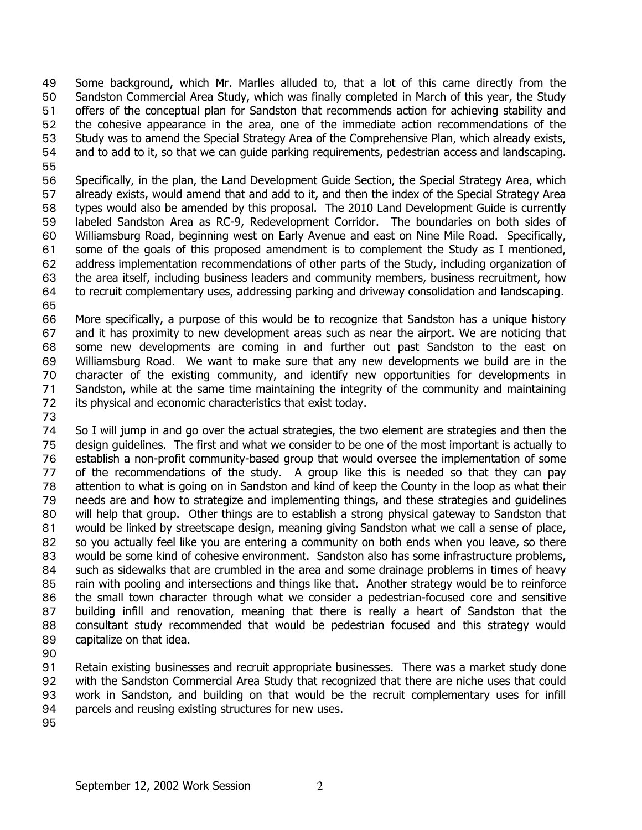Some background, which Mr. Marlles alluded to, that a lot of this came directly from the Sandston Commercial Area Study, which was finally completed in March of this year, the Study offers of the conceptual plan for Sandston that recommends action for achieving stability and the cohesive appearance in the area, one of the immediate action recommendations of the Study was to amend the Special Strategy Area of the Comprehensive Plan, which already exists, and to add to it, so that we can guide parking requirements, pedestrian access and landscaping. 49 50 51 52 53 54 55

- 56 57 58 59 60 61 62 63 64 Specifically, in the plan, the Land Development Guide Section, the Special Strategy Area, which already exists, would amend that and add to it, and then the index of the Special Strategy Area types would also be amended by this proposal. The 2010 Land Development Guide is currently labeled Sandston Area as RC-9, Redevelopment Corridor. The boundaries on both sides of Williamsburg Road, beginning west on Early Avenue and east on Nine Mile Road. Specifically, some of the goals of this proposed amendment is to complement the Study as I mentioned, address implementation recommendations of other parts of the Study, including organization of the area itself, including business leaders and community members, business recruitment, how to recruit complementary uses, addressing parking and driveway consolidation and landscaping.
- 65

66 67 68 69 70 71 72 More specifically, a purpose of this would be to recognize that Sandston has a unique history and it has proximity to new development areas such as near the airport. We are noticing that some new developments are coming in and further out past Sandston to the east on Williamsburg Road. We want to make sure that any new developments we build are in the character of the existing community, and identify new opportunities for developments in Sandston, while at the same time maintaining the integrity of the community and maintaining its physical and economic characteristics that exist today.

73

74 75 76 77 78 79 80 81 82 83 84 85 86 87 88 89 So I will jump in and go over the actual strategies, the two element are strategies and then the design guidelines. The first and what we consider to be one of the most important is actually to establish a non-profit community-based group that would oversee the implementation of some of the recommendations of the study. A group like this is needed so that they can pay attention to what is going on in Sandston and kind of keep the County in the loop as what their needs are and how to strategize and implementing things, and these strategies and guidelines will help that group. Other things are to establish a strong physical gateway to Sandston that would be linked by streetscape design, meaning giving Sandston what we call a sense of place, so you actually feel like you are entering a community on both ends when you leave, so there would be some kind of cohesive environment. Sandston also has some infrastructure problems, such as sidewalks that are crumbled in the area and some drainage problems in times of heavy rain with pooling and intersections and things like that. Another strategy would be to reinforce the small town character through what we consider a pedestrian-focused core and sensitive building infill and renovation, meaning that there is really a heart of Sandston that the consultant study recommended that would be pedestrian focused and this strategy would capitalize on that idea.

90

91 92 93 94 Retain existing businesses and recruit appropriate businesses. There was a market study done with the Sandston Commercial Area Study that recognized that there are niche uses that could work in Sandston, and building on that would be the recruit complementary uses for infill parcels and reusing existing structures for new uses.

95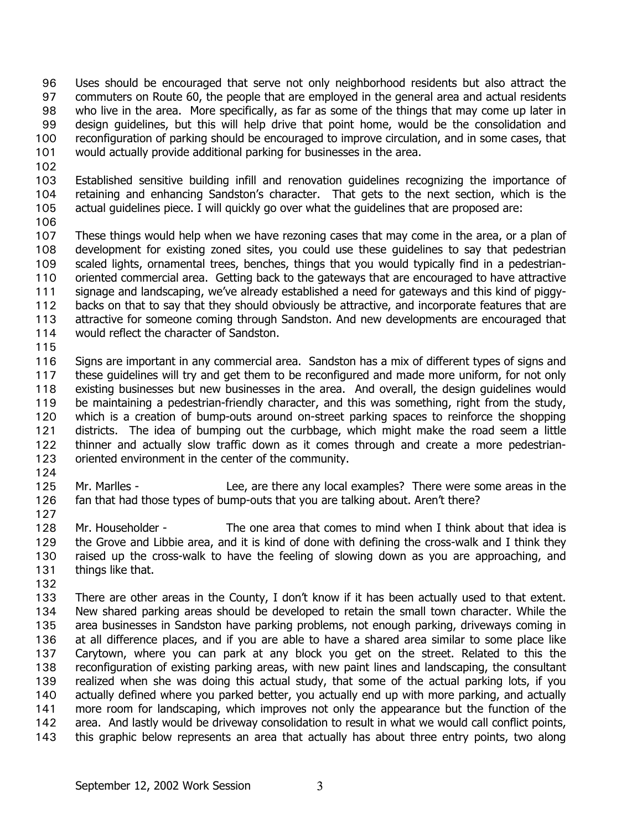Uses should be encouraged that serve not only neighborhood residents but also attract the commuters on Route 60, the people that are employed in the general area and actual residents who live in the area. More specifically, as far as some of the things that may come up later in design guidelines, but this will help drive that point home, would be the consolidation and reconfiguration of parking should be encouraged to improve circulation, and in some cases, that would actually provide additional parking for businesses in the area. 96 97 98 99 100 101

102

103 104 105 Established sensitive building infill and renovation guidelines recognizing the importance of retaining and enhancing Sandston's character. That gets to the next section, which is the actual guidelines piece. I will quickly go over what the guidelines that are proposed are:

106

107 108 109 110 111 112 113 114 These things would help when we have rezoning cases that may come in the area, or a plan of development for existing zoned sites, you could use these guidelines to say that pedestrian scaled lights, ornamental trees, benches, things that you would typically find in a pedestrianoriented commercial area. Getting back to the gateways that are encouraged to have attractive signage and landscaping, we've already established a need for gateways and this kind of piggybacks on that to say that they should obviously be attractive, and incorporate features that are attractive for someone coming through Sandston. And new developments are encouraged that would reflect the character of Sandston.

115

116 117 118 119 120 121 122 123 Signs are important in any commercial area. Sandston has a mix of different types of signs and these guidelines will try and get them to be reconfigured and made more uniform, for not only existing businesses but new businesses in the area. And overall, the design guidelines would be maintaining a pedestrian-friendly character, and this was something, right from the study, which is a creation of bump-outs around on-street parking spaces to reinforce the shopping districts. The idea of bumping out the curbbage, which might make the road seem a little thinner and actually slow traffic down as it comes through and create a more pedestrianoriented environment in the center of the community.

124

125 126 127 Mr. Marlles - Lee, are there any local examples? There were some areas in the fan that had those types of bump-outs that you are talking about. Aren't there?

128 129 130 131 Mr. Householder - The one area that comes to mind when I think about that idea is the Grove and Libbie area, and it is kind of done with defining the cross-walk and I think they raised up the cross-walk to have the feeling of slowing down as you are approaching, and things like that.

132

133 134 135 136 137 138 139 140 141 142 143 There are other areas in the County, I don't know if it has been actually used to that extent. New shared parking areas should be developed to retain the small town character. While the area businesses in Sandston have parking problems, not enough parking, driveways coming in at all difference places, and if you are able to have a shared area similar to some place like Carytown, where you can park at any block you get on the street. Related to this the reconfiguration of existing parking areas, with new paint lines and landscaping, the consultant realized when she was doing this actual study, that some of the actual parking lots, if you actually defined where you parked better, you actually end up with more parking, and actually more room for landscaping, which improves not only the appearance but the function of the area. And lastly would be driveway consolidation to result in what we would call conflict points, this graphic below represents an area that actually has about three entry points, two along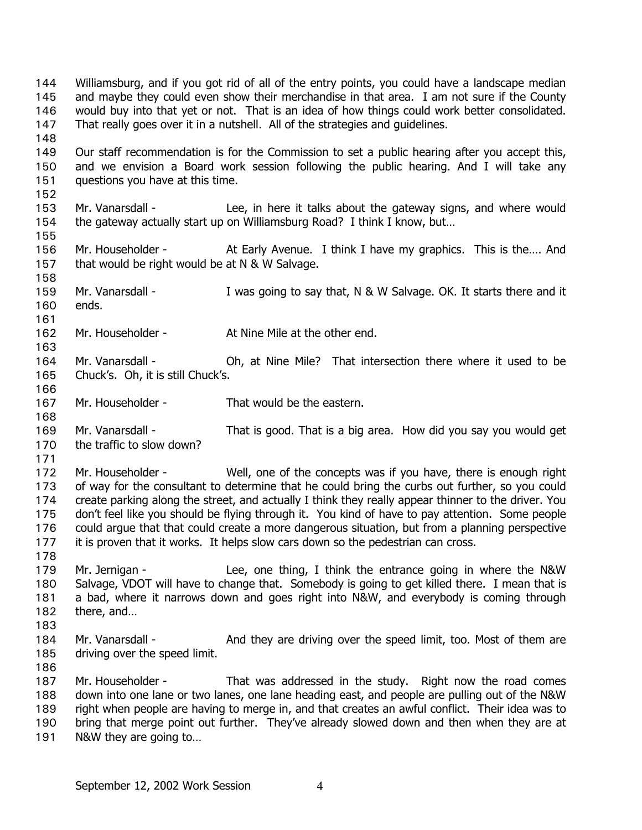Williamsburg, and if you got rid of all of the entry points, you could have a landscape median and maybe they could even show their merchandise in that area. I am not sure if the County would buy into that yet or not. That is an idea of how things could work better consolidated. That really goes over it in a nutshell. All of the strategies and guidelines. 144 145 146 147 148 149 150 151 152 153 154 155 156 157 158 159 160 161 162 163 164 165 166 167 168 169 170 171 172 173 174 175 176 177 178 179 180 181 182 183 184 185 186 187 188 189 190 191 Our staff recommendation is for the Commission to set a public hearing after you accept this, and we envision a Board work session following the public hearing. And I will take any questions you have at this time. Mr. Vanarsdall - The Lee, in here it talks about the gateway signs, and where would the gateway actually start up on Williamsburg Road? I think I know, but… Mr. Householder - At Early Avenue. I think I have my graphics. This is the…. And that would be right would be at N & W Salvage. Mr. Vanarsdall - I was going to say that, N & W Salvage. OK. It starts there and it ends. Mr. Householder - At Nine Mile at the other end. Mr. Vanarsdall - Oh, at Nine Mile? That intersection there where it used to be Chuck's. Oh, it is still Chuck's. Mr. Householder - That would be the eastern. Mr. Vanarsdall - That is good. That is a big area. How did you say you would get the traffic to slow down? Mr. Householder - Well, one of the concepts was if you have, there is enough right of way for the consultant to determine that he could bring the curbs out further, so you could create parking along the street, and actually I think they really appear thinner to the driver. You don't feel like you should be flying through it. You kind of have to pay attention. Some people could argue that that could create a more dangerous situation, but from a planning perspective it is proven that it works. It helps slow cars down so the pedestrian can cross. Mr. Jernigan - Lee, one thing, I think the entrance going in where the N&W Salvage, VDOT will have to change that. Somebody is going to get killed there. I mean that is a bad, where it narrows down and goes right into N&W, and everybody is coming through there, and… Mr. Vanarsdall - And they are driving over the speed limit, too. Most of them are driving over the speed limit. Mr. Householder - That was addressed in the study. Right now the road comes down into one lane or two lanes, one lane heading east, and people are pulling out of the N&W right when people are having to merge in, and that creates an awful conflict. Their idea was to bring that merge point out further. They've already slowed down and then when they are at N&W they are going to…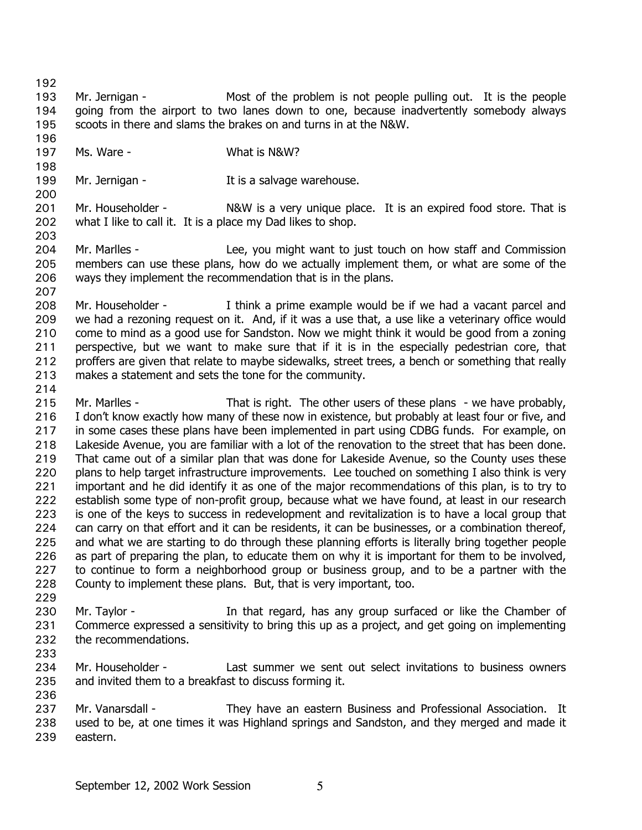192

193 194 195 Mr. Jernigan - Most of the problem is not people pulling out. It is the people going from the airport to two lanes down to one, because inadvertently somebody always scoots in there and slams the brakes on and turns in at the N&W.

196 197 198

200

207

Ms. Ware - What is N&W?

199 Mr. Jernigan - The Music State of the Salvage warehouse.

201 202 203 Mr. Householder - N&W is a very unique place. It is an expired food store. That is what I like to call it. It is a place my Dad likes to shop.

204 205 206 Mr. Marlles - The Lee, you might want to just touch on how staff and Commission members can use these plans, how do we actually implement them, or what are some of the ways they implement the recommendation that is in the plans.

208 209 210 211 212 213 Mr. Householder - I think a prime example would be if we had a vacant parcel and we had a rezoning request on it. And, if it was a use that, a use like a veterinary office would come to mind as a good use for Sandston. Now we might think it would be good from a zoning perspective, but we want to make sure that if it is in the especially pedestrian core, that proffers are given that relate to maybe sidewalks, street trees, a bench or something that really makes a statement and sets the tone for the community.

214

215 216 217 218 219 220 221 222 223 224 225 226 227 228 Mr. Marlles - That is right. The other users of these plans - we have probably, I don't know exactly how many of these now in existence, but probably at least four or five, and in some cases these plans have been implemented in part using CDBG funds. For example, on Lakeside Avenue, you are familiar with a lot of the renovation to the street that has been done. That came out of a similar plan that was done for Lakeside Avenue, so the County uses these plans to help target infrastructure improvements. Lee touched on something I also think is very important and he did identify it as one of the major recommendations of this plan, is to try to establish some type of non-profit group, because what we have found, at least in our research is one of the keys to success in redevelopment and revitalization is to have a local group that can carry on that effort and it can be residents, it can be businesses, or a combination thereof, and what we are starting to do through these planning efforts is literally bring together people as part of preparing the plan, to educate them on why it is important for them to be involved, to continue to form a neighborhood group or business group, and to be a partner with the County to implement these plans. But, that is very important, too.

229

230 231 232 Mr. Taylor - The State of that regard, has any group surfaced or like the Chamber of Commerce expressed a sensitivity to bring this up as a project, and get going on implementing the recommendations.

233

234 235 236 Mr. Householder - Last summer we sent out select invitations to business owners and invited them to a breakfast to discuss forming it.

237 238 239 Mr. Vanarsdall - They have an eastern Business and Professional Association. It used to be, at one times it was Highland springs and Sandston, and they merged and made it eastern.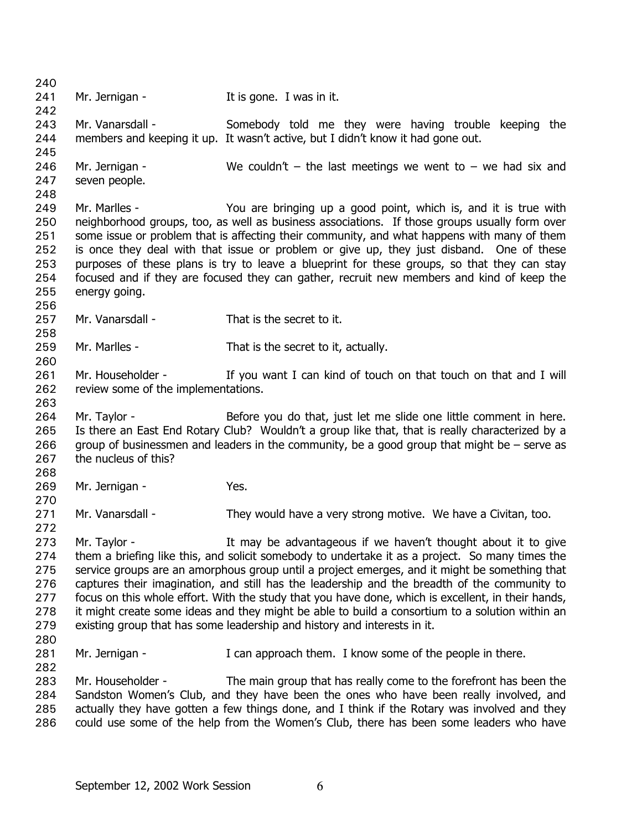240 241 242 243 244 245 246 247 248 249 250 251 252 253 254 255 256 257 258 259 260 261 262 263 264 265 266 267 268 269 270 271 272 273 274 275 276 277 278 279 280 281 282 283 284 285 286 Mr. Jernigan - The Music States of the Second Mr. Jernigan - The Music States I was in it. Mr. Vanarsdall - Somebody told me they were having trouble keeping the members and keeping it up. It wasn't active, but I didn't know it had gone out. Mr. Jernigan -  $\blacksquare$  We couldn't – the last meetings we went to – we had six and seven people. Mr. Marlles - You are bringing up a good point, which is, and it is true with neighborhood groups, too, as well as business associations. If those groups usually form over some issue or problem that is affecting their community, and what happens with many of them is once they deal with that issue or problem or give up, they just disband. One of these purposes of these plans is try to leave a blueprint for these groups, so that they can stay focused and if they are focused they can gather, recruit new members and kind of keep the energy going. Mr. Vanarsdall - That is the secret to it. Mr. Marlles - That is the secret to it, actually. Mr. Householder - If you want I can kind of touch on that touch on that and I will review some of the implementations. Mr. Taylor - Before you do that, just let me slide one little comment in here. Is there an East End Rotary Club? Wouldn't a group like that, that is really characterized by a group of businessmen and leaders in the community, be a good group that might be – serve as the nucleus of this? Mr. Jernigan - Yes. Mr. Vanarsdall - They would have a very strong motive. We have a Civitan, too. Mr. Taylor - The Music of the advantageous if we haven't thought about it to give them a briefing like this, and solicit somebody to undertake it as a project. So many times the service groups are an amorphous group until a project emerges, and it might be something that captures their imagination, and still has the leadership and the breadth of the community to focus on this whole effort. With the study that you have done, which is excellent, in their hands, it might create some ideas and they might be able to build a consortium to a solution within an existing group that has some leadership and history and interests in it. Mr. Jernigan - The Stand approach them. I know some of the people in there. Mr. Householder - The main group that has really come to the forefront has been the Sandston Women's Club, and they have been the ones who have been really involved, and actually they have gotten a few things done, and I think if the Rotary was involved and they could use some of the help from the Women's Club, there has been some leaders who have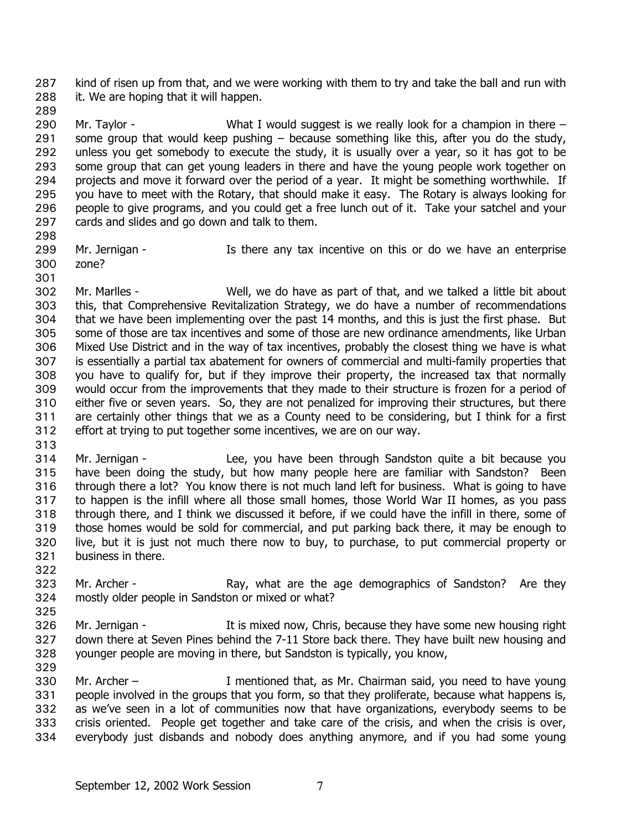kind of risen up from that, and we were working with them to try and take the ball and run with it. We are hoping that it will happen. 287 288

289

290 291 292 293 294 295 296 297 Mr. Taylor - What I would suggest is we really look for a champion in there – some group that would keep pushing  $-$  because something like this, after you do the study, unless you get somebody to execute the study, it is usually over a year, so it has got to be some group that can get young leaders in there and have the young people work together on projects and move it forward over the period of a year. It might be something worthwhile. If you have to meet with the Rotary, that should make it easy. The Rotary is always looking for people to give programs, and you could get a free lunch out of it. Take your satchel and your cards and slides and go down and talk to them.

298

301

299 300 Mr. Jernigan - There any tax incentive on this or do we have an enterprise zone?

302 303 304 305 306 307 308 309 310 311 312 Mr. Marlles - Well, we do have as part of that, and we talked a little bit about this, that Comprehensive Revitalization Strategy, we do have a number of recommendations that we have been implementing over the past 14 months, and this is just the first phase. But some of those are tax incentives and some of those are new ordinance amendments, like Urban Mixed Use District and in the way of tax incentives, probably the closest thing we have is what is essentially a partial tax abatement for owners of commercial and multi-family properties that you have to qualify for, but if they improve their property, the increased tax that normally would occur from the improvements that they made to their structure is frozen for a period of either five or seven years. So, they are not penalized for improving their structures, but there are certainly other things that we as a County need to be considering, but I think for a first effort at trying to put together some incentives, we are on our way.

313

314 315 316 317 318 319 320 321 322 Mr. Jernigan - Lee, you have been through Sandston quite a bit because you have been doing the study, but how many people here are familiar with Sandston? Been through there a lot? You know there is not much land left for business. What is going to have to happen is the infill where all those small homes, those World War II homes, as you pass through there, and I think we discussed it before, if we could have the infill in there, some of those homes would be sold for commercial, and put parking back there, it may be enough to live, but it is just not much there now to buy, to purchase, to put commercial property or business in there.

- 323 324 Mr. Archer - The Ray, what are the age demographics of Sandston? Are they mostly older people in Sandston or mixed or what?
- 326 327 328 Mr. Jernigan - The It is mixed now, Chris, because they have some new housing right down there at Seven Pines behind the 7-11 Store back there. They have built new housing and younger people are moving in there, but Sandston is typically, you know,
- 329

325

330 331 332 333 334 Mr. Archer – The Muslim and that, as Mr. Chairman said, you need to have young people involved in the groups that you form, so that they proliferate, because what happens is, as we've seen in a lot of communities now that have organizations, everybody seems to be crisis oriented. People get together and take care of the crisis, and when the crisis is over, everybody just disbands and nobody does anything anymore, and if you had some young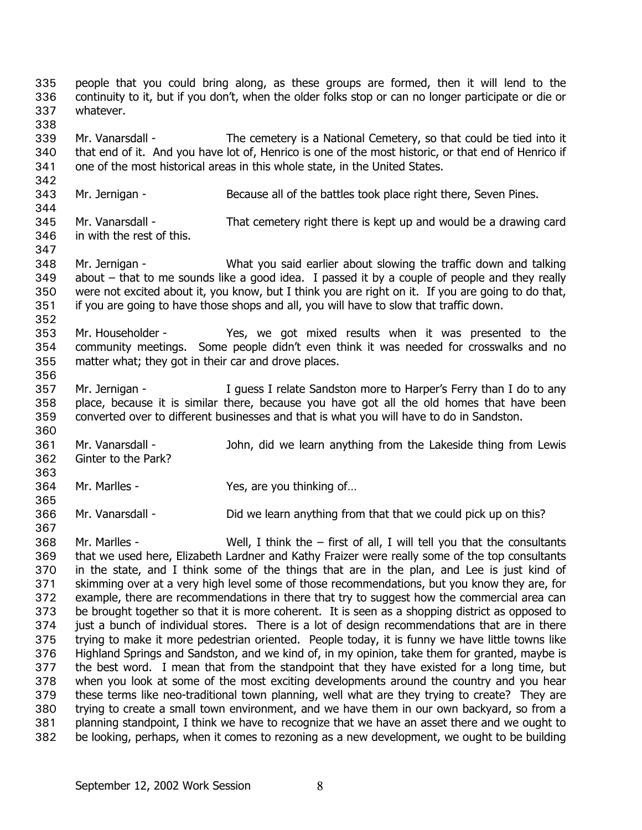people that you could bring along, as these groups are formed, then it will lend to the continuity to it, but if you don't, when the older folks stop or can no longer participate or die or whatever. 335 336 337 338 339 340 341 342 343 344 345 346 347 348 349 350 351 352 353 354 355 356 357 358 359 360 361 362 363 364 365 366 367 368 369 370 371 372 373 374 375 376 377 378 379 380 381 382 Mr. Vanarsdall - The cemetery is a National Cemetery, so that could be tied into it that end of it. And you have lot of, Henrico is one of the most historic, or that end of Henrico if one of the most historical areas in this whole state, in the United States. Mr. Jernigan - Because all of the battles took place right there, Seven Pines. Mr. Vanarsdall - That cemetery right there is kept up and would be a drawing card in with the rest of this. Mr. Jernigan - What you said earlier about slowing the traffic down and talking about – that to me sounds like a good idea. I passed it by a couple of people and they really were not excited about it, you know, but I think you are right on it. If you are going to do that, if you are going to have those shops and all, you will have to slow that traffic down. Mr. Householder - The Yes, we got mixed results when it was presented to the community meetings. Some people didn't even think it was needed for crosswalks and no matter what; they got in their car and drove places. Mr. Jernigan - The Mullets I relate Sandston more to Harper's Ferry than I do to any place, because it is similar there, because you have got all the old homes that have been converted over to different businesses and that is what you will have to do in Sandston. Mr. Vanarsdall - The John, did we learn anything from the Lakeside thing from Lewis Ginter to the Park? Mr. Marlles - Yes, are you thinking of... Mr. Vanarsdall - **Did we learn anything from that that we could pick up on this?** Mr. Marlles -  $\blacksquare$  Well, I think the – first of all, I will tell you that the consultants that we used here, Elizabeth Lardner and Kathy Fraizer were really some of the top consultants in the state, and I think some of the things that are in the plan, and Lee is just kind of skimming over at a very high level some of those recommendations, but you know they are, for example, there are recommendations in there that try to suggest how the commercial area can be brought together so that it is more coherent. It is seen as a shopping district as opposed to just a bunch of individual stores. There is a lot of design recommendations that are in there trying to make it more pedestrian oriented. People today, it is funny we have little towns like Highland Springs and Sandston, and we kind of, in my opinion, take them for granted, maybe is the best word. I mean that from the standpoint that they have existed for a long time, but when you look at some of the most exciting developments around the country and you hear these terms like neo-traditional town planning, well what are they trying to create? They are trying to create a small town environment, and we have them in our own backyard, so from a planning standpoint, I think we have to recognize that we have an asset there and we ought to be looking, perhaps, when it comes to rezoning as a new development, we ought to be building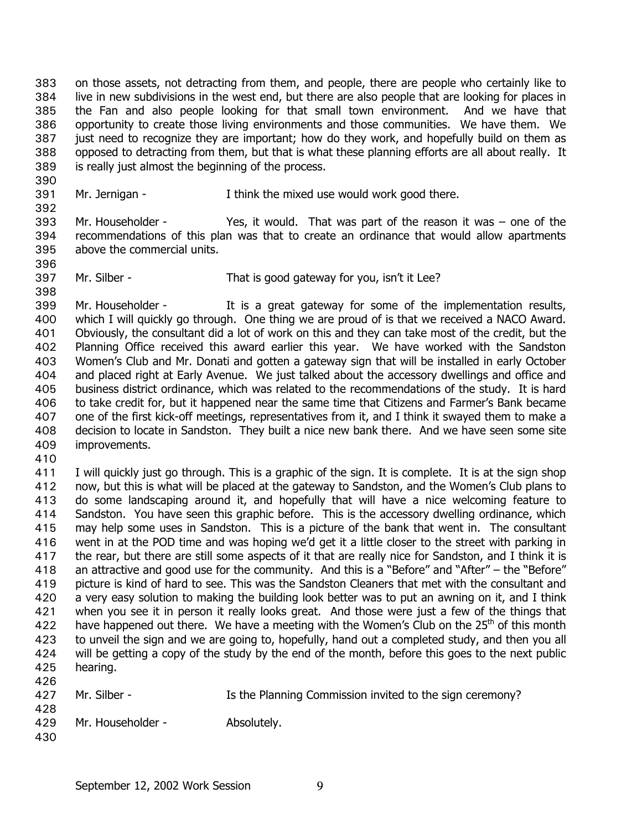on those assets, not detracting from them, and people, there are people who certainly like to live in new subdivisions in the west end, but there are also people that are looking for places in the Fan and also people looking for that small town environment. And we have that opportunity to create those living environments and those communities. We have them. We just need to recognize they are important; how do they work, and hopefully build on them as opposed to detracting from them, but that is what these planning efforts are all about really. It is really just almost the beginning of the process. 383 384 385 386 387 388 389

390 391

392

Mr. Jernigan - Think the mixed use would work good there.

393 394 395 Mr. Householder - Yes, it would. That was part of the reason it was – one of the recommendations of this plan was that to create an ordinance that would allow apartments above the commercial units.

396 397

398

Mr. Silber - That is good gateway for you, isn't it Lee?

399 400 401 402 403 404 405 406 407 408 409 Mr. Householder - It is a great gateway for some of the implementation results, which I will quickly go through. One thing we are proud of is that we received a NACO Award. Obviously, the consultant did a lot of work on this and they can take most of the credit, but the Planning Office received this award earlier this year. We have worked with the Sandston Women's Club and Mr. Donati and gotten a gateway sign that will be installed in early October and placed right at Early Avenue. We just talked about the accessory dwellings and office and business district ordinance, which was related to the recommendations of the study. It is hard to take credit for, but it happened near the same time that Citizens and Farmer's Bank became one of the first kick-off meetings, representatives from it, and I think it swayed them to make a decision to locate in Sandston. They built a nice new bank there. And we have seen some site improvements.

410

411 412 413 414 415 416 417 418 419 420 421 422 423 424 425 426 I will quickly just go through. This is a graphic of the sign. It is complete. It is at the sign shop now, but this is what will be placed at the gateway to Sandston, and the Women's Club plans to do some landscaping around it, and hopefully that will have a nice welcoming feature to Sandston. You have seen this graphic before. This is the accessory dwelling ordinance, which may help some uses in Sandston. This is a picture of the bank that went in. The consultant went in at the POD time and was hoping we'd get it a little closer to the street with parking in the rear, but there are still some aspects of it that are really nice for Sandston, and I think it is an attractive and good use for the community. And this is a "Before" and "After" – the "Before" picture is kind of hard to see. This was the Sandston Cleaners that met with the consultant and a very easy solution to making the building look better was to put an awning on it, and I think when you see it in person it really looks great. And those were just a few of the things that have happened out there. We have a meeting with the Women's Club on the  $25<sup>th</sup>$  of this month to unveil the sign and we are going to, hopefully, hand out a completed study, and then you all will be getting a copy of the study by the end of the month, before this goes to the next public hearing.

| 427 | Mr. Silber -      | Is the Planning Commission invited to the sign ceremony? |
|-----|-------------------|----------------------------------------------------------|
| 428 |                   |                                                          |
| 429 | Mr. Householder - | Absolutely.                                              |

430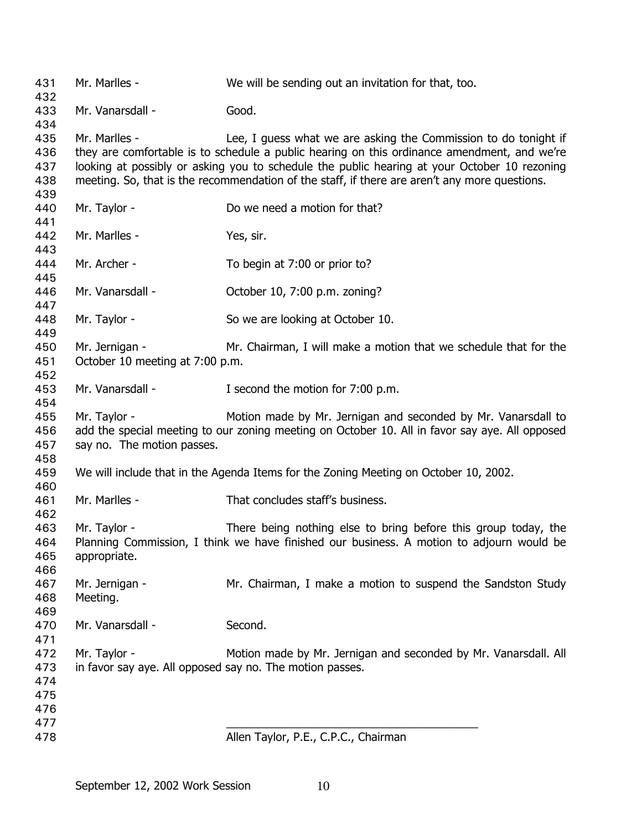| 431        | Mr. Marlles -                                                                                  | We will be sending out an invitation for that, too.                                         |  |  |
|------------|------------------------------------------------------------------------------------------------|---------------------------------------------------------------------------------------------|--|--|
| 432<br>433 | Mr. Vanarsdall -                                                                               | Good.                                                                                       |  |  |
| 434        |                                                                                                |                                                                                             |  |  |
| 435        | Mr. Marlles -                                                                                  | Lee, I guess what we are asking the Commission to do tonight if                             |  |  |
| 436        |                                                                                                | they are comfortable is to schedule a public hearing on this ordinance amendment, and we're |  |  |
| 437        | looking at possibly or asking you to schedule the public hearing at your October 10 rezoning   |                                                                                             |  |  |
| 438        | meeting. So, that is the recommendation of the staff, if there are aren't any more questions.  |                                                                                             |  |  |
| 439        |                                                                                                |                                                                                             |  |  |
| 440        | Mr. Taylor -                                                                                   | Do we need a motion for that?                                                               |  |  |
| 441        |                                                                                                |                                                                                             |  |  |
| 442        | Mr. Marlles -                                                                                  | Yes, sir.                                                                                   |  |  |
| 443        |                                                                                                |                                                                                             |  |  |
| 444        | Mr. Archer -                                                                                   | To begin at 7:00 or prior to?                                                               |  |  |
| 445        |                                                                                                |                                                                                             |  |  |
| 446        | Mr. Vanarsdall -                                                                               | October 10, 7:00 p.m. zoning?                                                               |  |  |
| 447        |                                                                                                |                                                                                             |  |  |
| 448        | Mr. Taylor -                                                                                   | So we are looking at October 10.                                                            |  |  |
| 449        |                                                                                                |                                                                                             |  |  |
| 450        | Mr. Jernigan -                                                                                 | Mr. Chairman, I will make a motion that we schedule that for the                            |  |  |
| 451        | October 10 meeting at 7:00 p.m.                                                                |                                                                                             |  |  |
| 452        |                                                                                                |                                                                                             |  |  |
| 453        | Mr. Vanarsdall -                                                                               | I second the motion for 7:00 p.m.                                                           |  |  |
| 454        |                                                                                                |                                                                                             |  |  |
| 455        | Mr. Taylor -                                                                                   | Motion made by Mr. Jernigan and seconded by Mr. Vanarsdall to                               |  |  |
| 456        | add the special meeting to our zoning meeting on October 10. All in favor say aye. All opposed |                                                                                             |  |  |
| 457        | say no. The motion passes.                                                                     |                                                                                             |  |  |
| 458        |                                                                                                |                                                                                             |  |  |
| 459        |                                                                                                | We will include that in the Agenda Items for the Zoning Meeting on October 10, 2002.        |  |  |
| 460        |                                                                                                |                                                                                             |  |  |
| 461        | Mr. Marlles -                                                                                  | That concludes staff's business.                                                            |  |  |
| 462        |                                                                                                |                                                                                             |  |  |
| 463        | Mr. Taylor -                                                                                   | There being nothing else to bring before this group today, the                              |  |  |
| 464<br>465 |                                                                                                | Planning Commission, I think we have finished our business. A motion to adjourn would be    |  |  |
| 466        | appropriate.                                                                                   |                                                                                             |  |  |
| 467        | Mr. Jernigan -                                                                                 | Mr. Chairman, I make a motion to suspend the Sandston Study                                 |  |  |
| 468        | Meeting.                                                                                       |                                                                                             |  |  |
| 469        |                                                                                                |                                                                                             |  |  |
| 470        | Mr. Vanarsdall -                                                                               | Second.                                                                                     |  |  |
| 471        |                                                                                                |                                                                                             |  |  |
| 472        | Mr. Taylor -                                                                                   | Motion made by Mr. Jernigan and seconded by Mr. Vanarsdall. All                             |  |  |
| 473        | in favor say aye. All opposed say no. The motion passes.                                       |                                                                                             |  |  |
| 474        |                                                                                                |                                                                                             |  |  |
| 475        |                                                                                                |                                                                                             |  |  |
| 476        |                                                                                                |                                                                                             |  |  |
| 477        |                                                                                                |                                                                                             |  |  |
| 478        |                                                                                                | Allen Taylor, P.E., C.P.C., Chairman                                                        |  |  |